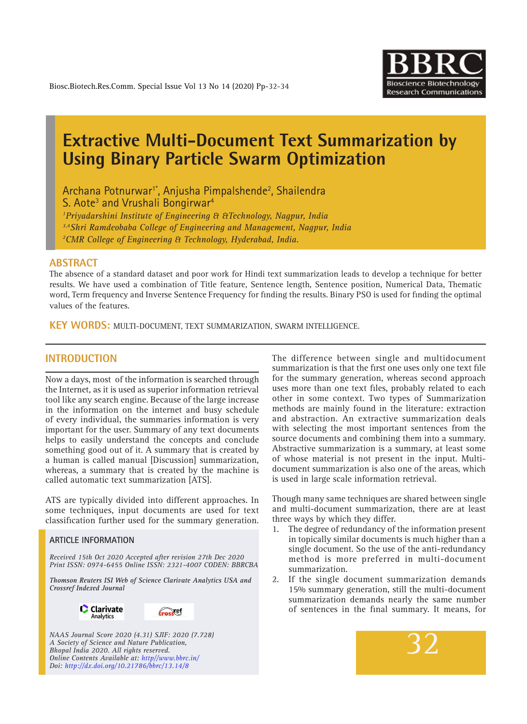

# **Extractive Multi-Document Text Summarization by Using Binary Particle Swarm Optimization**

Archana Potnurwar<sup>1\*</sup>, Anjusha Pimpalshende<sup>2</sup>, Shailendra S. Aote<sup>3</sup> and Vrushali Bongirwar<sup>4</sup> *1 Priyadarshini Institute of Engineering & &Technology, Nagpur, India 3,4Shri Ramdeobaba College of Engineering and Management, Nagpur, India 2 CMR College of Engineering & Technology, Hyderabad, India.*

## **ABSTRACT**

The absence of a standard dataset and poor work for Hindi text summarization leads to develop a technique for better results. We have used a combination of Title feature, Sentence length, Sentence position, Numerical Data, Thematic word, Term frequency and Inverse Sentence Frequency for finding the results. Binary PSO is used for finding the optimal values of the features.

**KEY WORDS:** Multi-document, Text Summarization, Swarm Intelligence.

# **INTRODUCTION**

Now a days, most of the information is searched through the Internet, as it is used as superior information retrieval tool like any search engine. Because of the large increase in the information on the internet and busy schedule of every individual, the summaries information is very important for the user. Summary of any text documents helps to easily understand the concepts and conclude something good out of it. A summary that is created by a human is called manual [Discussion] summarization, whereas, a summary that is created by the machine is called automatic text summarization [ATS].

ATS are typically divided into different approaches. In some techniques, input documents are used for text classification further used for the summary generation.

#### **ARTICLE INFORMATION**

*Received 15th Oct 2020 Accepted after revision 27th Dec 2020 Print ISSN: 0974-6455 Online ISSN: 2321-4007 CODEN: BBRCBA*

*Thomson Reuters ISI Web of Science Clarivate Analytics USA and Crossref Indexed Journal*





*NAAS Journal Score 2020 (4.31) SJIF: 2020 (7.728) A Society of Science and Nature Publication, Bhopal India 2020. All rights reserved. Online Contents Available at: http//www.bbrc.in/ Doi: http://dx.doi.org/10.21786/bbrc/13.14/8*

The difference between single and multidocument summarization is that the first one uses only one text file for the summary generation, whereas second approach uses more than one text files, probably related to each other in some context. Two types of Summarization methods are mainly found in the literature: extraction and abstraction. An extractive summarization deals with selecting the most important sentences from the source documents and combining them into a summary. Abstractive summarization is a summary, at least some of whose material is not present in the input. Multidocument summarization is also one of the areas, which is used in large scale information retrieval.

Though many same techniques are shared between single and multi-document summarization, there are at least three ways by which they differ.

- 1. The degree of redundancy of the information present in topically similar documents is much higher than a single document. So the use of the anti-redundancy method is more preferred in multi-document summarization.
- 2. If the single document summarization demands 15% summary generation, still the multi-document summarization demands nearly the same number of sentences in the final summary. It means, for

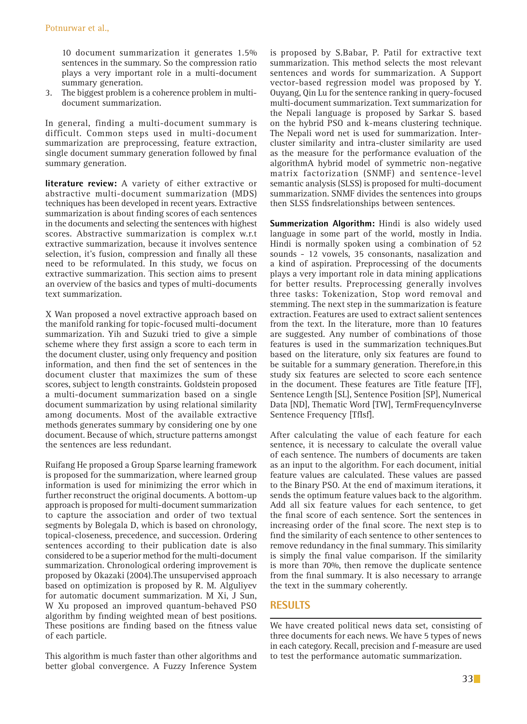10 document summarization it generates 1.5% sentences in the summary. So the compression ratio plays a very important role in a multi-document summary generation.

3. The biggest problem is a coherence problem in multidocument summarization.

In general, finding a multi-document summary is difficult. Common steps used in multi-document summarization are preprocessing, feature extraction, single document summary generation followed by final summary generation.

**literature review:** A variety of either extractive or abstractive multi-document summarization (MDS) techniques has been developed in recent years. Extractive summarization is about finding scores of each sentences in the documents and selecting the sentences with highest scores. Abstractive summarization is complex w.r.t extractive summarization, because it involves sentence selection, it's fusion, compression and finally all these need to be reformulated. In this study, we focus on extractive summarization. This section aims to present an overview of the basics and types of multi-documents text summarization.

X Wan proposed a novel extractive approach based on the manifold ranking for topic-focused multi-document summarization. Yih and Suzuki tried to give a simple scheme where they first assign a score to each term in the document cluster, using only frequency and position information, and then find the set of sentences in the document cluster that maximizes the sum of these scores, subject to length constraints. Goldstein proposed a multi-document summarization based on a single document summarization by using relational similarity among documents. Most of the available extractive methods generates summary by considering one by one document. Because of which, structure patterns amongst the sentences are less redundant.

Ruifang He proposed a Group Sparse learning framework is proposed for the summarization, where learned group information is used for minimizing the error which in further reconstruct the original documents. A bottom-up approach is proposed for multi-document summarization to capture the association and order of two textual segments by Bolegala D, which is based on chronology, topical-closeness, precedence, and succession. Ordering sentences according to their publication date is also considered to be a superior method for the multi-document summarization. Chronological ordering improvement is proposed by Okazaki (2004).The unsupervised approach based on optimization is proposed by R. M. Alguliyev for automatic document summarization. M Xi, J Sun, W Xu proposed an improved quantum-behaved PSO algorithm by finding weighted mean of best positions. These positions are finding based on the fitness value of each particle.

This algorithm is much faster than other algorithms and better global convergence. A Fuzzy Inference System is proposed by S.Babar, P. Patil for extractive text summarization. This method selects the most relevant sentences and words for summarization. A Support vector-based regression model was proposed by Y. Ouyang, Qin Lu for the sentence ranking in query-focused multi-document summarization. Text summarization for the Nepali language is proposed by Sarkar S. based on the hybrid PSO and k-means clustering technique. The Nepali word net is used for summarization. Intercluster similarity and intra-cluster similarity are used as the measure for the performance evaluation of the algorithmA hybrid model of symmetric non-negative matrix factorization (SNMF) and sentence-level semantic analysis (SLSS) is proposed for multi-document summarization. SNMF divides the sentences into groups then SLSS findsrelationships between sentences.

**Summerization Algorithm:** Hindi is also widely used language in some part of the world, mostly in India. Hindi is normally spoken using a combination of 52 sounds - 12 vowels, 35 consonants, nasalization and a kind of aspiration. Preprocessing of the documents plays a very important role in data mining applications for better results. Preprocessing generally involves three tasks: Tokenization, Stop word removal and stemming. The next step in the summarization is feature extraction. Features are used to extract salient sentences from the text. In the literature, more than 10 features are suggested. Any number of combinations of those features is used in the summarization techniques.But based on the literature, only six features are found to be suitable for a summary generation. Therefore,in this study six features are selected to score each sentence in the document. These features are Title feature [TF], Sentence Length [SL], Sentence Position [SP], Numerical Data [ND], Thematic Word [TW], TermFrequencyInverse Sentence Frequency [TfIsf].

After calculating the value of each feature for each sentence, it is necessary to calculate the overall value of each sentence. The numbers of documents are taken as an input to the algorithm. For each document, initial feature values are calculated. These values are passed to the Binary PSO. At the end of maximum iterations, it sends the optimum feature values back to the algorithm. Add all six feature values for each sentence, to get the final score of each sentence. Sort the sentences in increasing order of the final score. The next step is to find the similarity of each sentence to other sentences to remove redundancy in the final summary. This similarity is simply the final value comparison. If the similarity is more than 70%, then remove the duplicate sentence from the final summary. It is also necessary to arrange the text in the summary coherently.

# **RESULTS**

We have created political news data set, consisting of three documents for each news. We have 5 types of news in each category. Recall, precision and f-measure are used to test the performance automatic summarization.